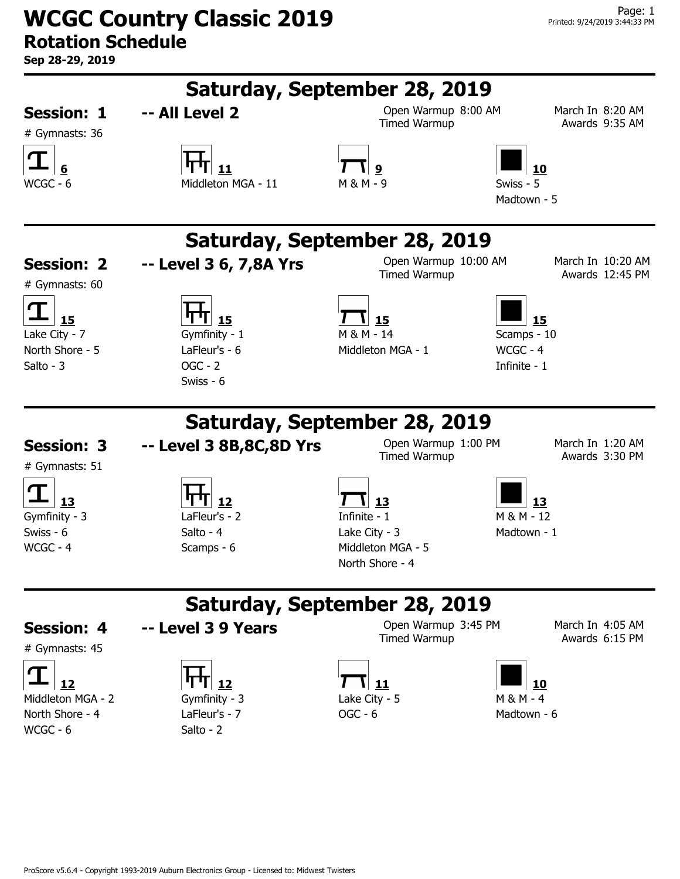**WCGC Country Classic 2019 Rotation Schedule**

**Sep 28-29, 2019**

| Sep 28-29, 2019                     |                                         |                                                                        |                                      |  |  |
|-------------------------------------|-----------------------------------------|------------------------------------------------------------------------|--------------------------------------|--|--|
| Saturday, September 28, 2019        |                                         |                                                                        |                                      |  |  |
| <b>Session: 1</b><br># Gymnasts: 36 | -- All Level 2                          | Open Warmup 8:00 AM<br><b>Timed Warmup</b>                             | March In 8:20 AM<br>Awards 9:35 AM   |  |  |
| WCGC - 6                            | 11<br>Middleton MGA - 11                | 9<br>Swiss - 5<br>M & M - 9<br>Madtown - 5                             | 10                                   |  |  |
| Saturday, September 28, 2019        |                                         |                                                                        |                                      |  |  |
| <b>Session: 2</b><br># Gymnasts: 60 | -- Level 3 6, 7,8A Yrs                  | Open Warmup 10:00 AM<br><b>Timed Warmup</b>                            | March In 10:20 AM<br>Awards 12:45 PM |  |  |
| 15<br>Lake City - 7                 | 15<br>Gymfinity - 1                     | 15<br>M & M - 14<br>Scamps - 10                                        | 15                                   |  |  |
| North Shore - 5<br>Salto - 3        | LaFleur's - 6<br>$OGC - 2$<br>Swiss - 6 | WCGC - 4<br>Middleton MGA - 1<br>Infinite - 1                          |                                      |  |  |
|                                     |                                         | Saturday, September 28, 2019                                           |                                      |  |  |
| <b>Session: 3</b><br># Gymnasts: 51 | -- Level 3 8B, 8C, 8D Yrs               | Open Warmup 1:00 PM<br>Timed Warmup                                    | March In 1:20 AM<br>Awards 3:30 PM   |  |  |
| 13<br>Gymfinity - 3                 | 12<br>LaFleur's - 2                     | 13<br>Infinite - 1<br>M & M - 12                                       | 13                                   |  |  |
| Swiss - 6<br>WCGC - 4               | Salto - $4$<br>Scamps - 6               | Lake City - $3$<br>Madtown - 1<br>Middleton MGA - 5<br>North Shore - 4 |                                      |  |  |
| Saturday, September 28, 2019        |                                         |                                                                        |                                      |  |  |
| <b>Session: 4</b><br># Gymnasts: 45 | -- Level 3 9 Years                      | Open Warmup 3:45 PM<br><b>Timed Warmup</b>                             | March In 4:05 AM<br>Awards 6:15 PM   |  |  |
| 12<br>Middleton MGA - 2             | 12<br>Gymfinity - 3                     | 11<br>Lake City - 5<br>$M 8 M - 4$                                     | 10                                   |  |  |
| North Shore - 4<br>WCGC - 6         | LaFleur's - 7<br>Salto - 2              | $OGC - 6$<br>Madtown - 6                                               |                                      |  |  |

ProScore v5.6.4 - Copyright 1993-2019 Auburn Electronics Group - Licensed to: Midwest Twisters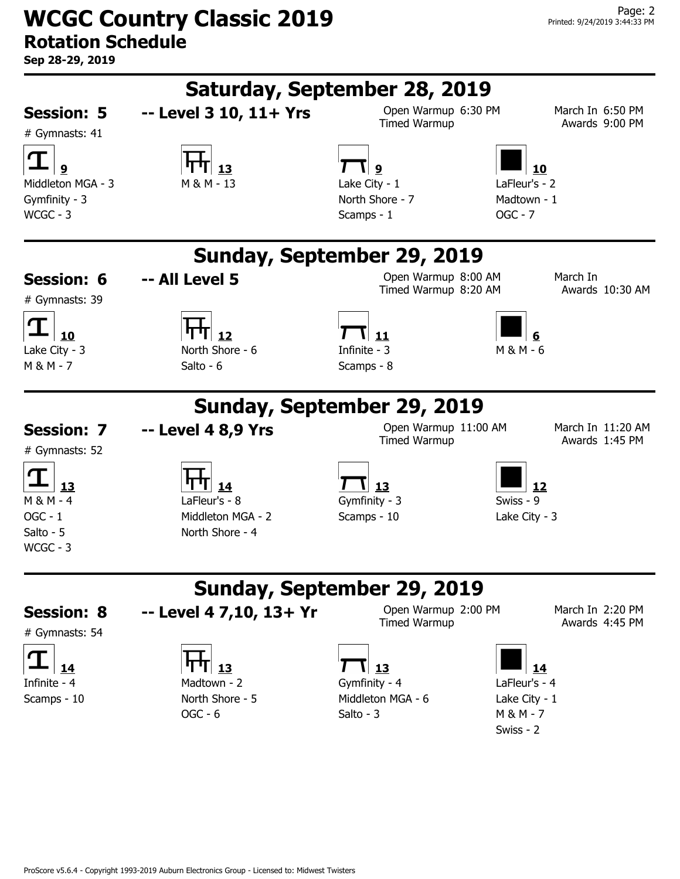**WCGC Country Classic 2019 Rotation Schedule**

**Sep 28-29, 2019**

| Saturday, September 28, 2019                              |                                                       |                                                                                                     |                                     |  |
|-----------------------------------------------------------|-------------------------------------------------------|-----------------------------------------------------------------------------------------------------|-------------------------------------|--|
| <b>Session: 5</b><br># Gymnasts: 41                       | -- Level 3 10, 11+ Yrs                                | Open Warmup 6:30 PM<br>Timed Warmup                                                                 | March In 6:50 PM<br>Awards 9:00 PM  |  |
| Middleton MGA - 3<br>Gymfinity - 3<br>$WCGC - 3$          | M & M - 13                                            | \  9<br>Lake City - 1<br>LaFleur's - 2<br>North Shore - 7<br>Madtown - 1<br>$OGC - 7$<br>Scamps - 1 | 10                                  |  |
|                                                           |                                                       | Sunday, September 29, 2019                                                                          |                                     |  |
| <b>Session: 6</b><br># Gymnasts: 39                       | -- All Level 5                                        | Open Warmup 8:00 AM<br>Timed Warmup 8:20 AM                                                         | March In<br>Awards 10:30 AM         |  |
| 10<br>Lake City - 3<br>$M 8 M - 7$                        | 12<br>North Shore - 6<br>Salto - 6                    | 11<br>Infinite - 3<br>$M & M - 6$<br>Scamps - 8                                                     |                                     |  |
|                                                           |                                                       | Sunday, September 29, 2019                                                                          |                                     |  |
| <b>Session: 7</b><br># Gymnasts: 52                       | -- Level 4 8,9 Yrs                                    | Open Warmup 11:00 AM<br><b>Timed Warmup</b>                                                         | March In 11:20 AM<br>Awards 1:45 PM |  |
| 13<br>$M 8 M - 4$<br>$OGC - 1$<br>Salto - 5<br>$WCGC - 3$ | LaFleur's - 8<br>Middleton MGA - 2<br>North Shore - 4 | 13<br>Gymfinity - 3<br>Swiss - 9<br>Scamps - 10<br>Lake City - 3                                    | 12                                  |  |
|                                                           |                                                       | Sunday, September 29, 2019                                                                          |                                     |  |
| <b>Session: 8</b><br># Gymnasts: 54                       | -- Level 4 7,10, 13+ Yr                               | Open Warmup 2:00 PM<br><b>Timed Warmup</b>                                                          | March In 2:20 PM<br>Awards 4:45 PM  |  |
| 14<br>Infinite - 4                                        | Madtown - 2                                           | 13<br>LaFleur's - 4<br>Gymfinity - 4                                                                | 14                                  |  |
| Scamps - 10                                               | North Shore - 5<br>$OGC - 6$                          | Middleton MGA - 6<br>Lake City - 1<br>Salto - 3<br>$M 8 M - 7$<br>Swiss - 2                         |                                     |  |
|                                                           |                                                       |                                                                                                     |                                     |  |